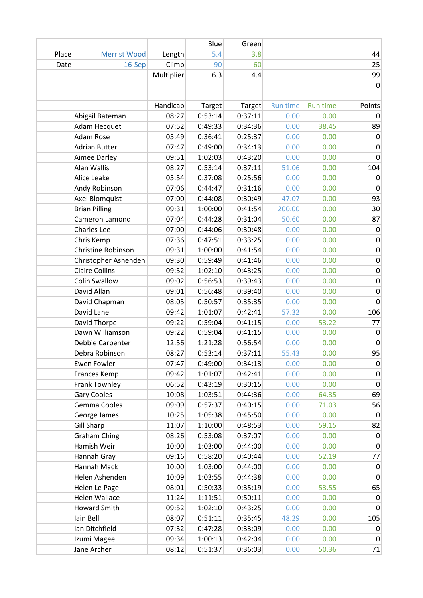|       |                       |            | Blue    | Green   |                 |                 |                  |
|-------|-----------------------|------------|---------|---------|-----------------|-----------------|------------------|
| Place | <b>Merrist Wood</b>   | Length     | 5.4     | 3.8     |                 |                 | 44               |
| Date  | 16-Sep                | Climb      | 90      | 60      |                 |                 | 25               |
|       |                       | Multiplier | 6.3     | 4.4     |                 |                 | 99               |
|       |                       |            |         |         |                 |                 | $\mathbf 0$      |
|       |                       |            |         |         |                 |                 |                  |
|       |                       | Handicap   | Target  | Target  | <b>Run time</b> | <b>Run time</b> | Points           |
|       | Abigail Bateman       | 08:27      | 0:53:14 | 0:37:11 | 0.00            | 0.00            | 0                |
|       | Adam Hecquet          | 07:52      | 0:49:33 | 0:34:36 | 0.00            | 38.45           | 89               |
|       | Adam Rose             | 05:49      | 0:36:41 | 0:25:37 | 0.00            | 0.00            | $\mathbf 0$      |
|       | <b>Adrian Butter</b>  | 07:47      | 0:49:00 | 0:34:13 | 0.00            | 0.00            | 0                |
|       | Aimee Darley          | 09:51      | 1:02:03 | 0:43:20 | 0.00            | 0.00            | $\mathbf 0$      |
|       | Alan Wallis           | 08:27      | 0:53:14 | 0:37:11 | 51.06           | 0.00            | 104              |
|       | Alice Leake           | 05:54      | 0:37:08 | 0:25:56 | 0.00            | 0.00            | $\pmb{0}$        |
|       | Andy Robinson         | 07:06      | 0:44:47 | 0:31:16 | 0.00            | 0.00            | $\pmb{0}$        |
|       | Axel Blomquist        | 07:00      | 0:44:08 | 0:30:49 | 47.07           | 0.00            | 93               |
|       | <b>Brian Pilling</b>  | 09:31      | 1:00:00 | 0:41:54 | 200.00          | 0.00            | 30               |
|       | Cameron Lamond        | 07:04      | 0:44:28 | 0:31:04 | 50.60           | 0.00            | 87               |
|       | Charles Lee           | 07:00      | 0:44:06 | 0:30:48 | 0.00            | 0.00            | $\pmb{0}$        |
|       | Chris Kemp            | 07:36      | 0:47:51 | 0:33:25 | 0.00            | 0.00            | $\pmb{0}$        |
|       | Christine Robinson    | 09:31      | 1:00:00 | 0:41:54 | 0.00            | 0.00            | $\pmb{0}$        |
|       | Christopher Ashenden  | 09:30      | 0:59:49 | 0:41:46 | 0.00            | 0.00            | $\pmb{0}$        |
|       | <b>Claire Collins</b> | 09:52      | 1:02:10 | 0:43:25 | 0.00            | 0.00            | $\pmb{0}$        |
|       | <b>Colin Swallow</b>  | 09:02      | 0:56:53 | 0:39:43 | 0.00            | 0.00            | $\pmb{0}$        |
|       | David Allan           | 09:01      | 0:56:48 | 0:39:40 | 0.00            | 0.00            | $\boldsymbol{0}$ |
|       | David Chapman         | 08:05      | 0:50:57 | 0:35:35 | 0.00            | 0.00            | $\mathbf 0$      |
|       | David Lane            | 09:42      | 1:01:07 | 0:42:41 | 57.32           | 0.00            | 106              |
|       | David Thorpe          | 09:22      | 0:59:04 | 0:41:15 | 0.00            | 53.22           | 77               |
|       | Dawn Williamson       | 09:22      | 0:59:04 | 0:41:15 | 0.00            | 0.00            | $\mathbf 0$      |
|       | Debbie Carpenter      | 12:56      | 1:21:28 | 0:56:54 | 0.00            | 0.00            | $\pmb{0}$        |
|       | Debra Robinson        | 08:27      | 0:53:14 | 0:37:11 | 55.43           | 0.00            | 95               |
|       | <b>Ewen Fowler</b>    | 07:47      | 0:49:00 | 0:34:13 | 0.00            | 0.00            | $\vert 0 \vert$  |
|       | Frances Kemp          | 09:42      | 1:01:07 | 0:42:41 | 0.00            | 0.00            | $\mathbf 0$      |
|       | Frank Townley         | 06:52      | 0:43:19 | 0:30:15 | 0.00            | 0.00            | $\pmb{0}$        |
|       | <b>Gary Cooles</b>    | 10:08      | 1:03:51 | 0:44:36 | 0.00            | 64.35           | 69               |
|       | Gemma Cooles          | 09:09      | 0:57:37 | 0:40:15 | 0.00            | 71.03           | 56               |
|       | George James          | 10:25      | 1:05:38 | 0:45:50 | 0.00            | 0.00            | 0                |
|       | <b>Gill Sharp</b>     | 11:07      | 1:10:00 | 0:48:53 | 0.00            | 59.15           | 82               |
|       | <b>Graham Ching</b>   | 08:26      | 0:53:08 | 0:37:07 | 0.00            | 0.00            | $\mathbf 0$      |
|       | Hamish Weir           | 10:00      | 1:03:00 | 0:44:00 | 0.00            | 0.00            | $\mathbf 0$      |
|       | Hannah Gray           | 09:16      | 0:58:20 | 0:40:44 | 0.00            | 52.19           | 77               |
|       | Hannah Mack           | 10:00      | 1:03:00 | 0:44:00 | 0.00            | 0.00            | 0                |
|       | Helen Ashenden        | 10:09      | 1:03:55 | 0:44:38 | 0.00            | 0.00            | $\pmb{0}$        |
|       | Helen Le Page         | 08:01      | 0:50:33 | 0:35:19 | 0.00            | 53.55           | 65               |
|       | Helen Wallace         | 11:24      | 1:11:51 | 0:50:11 | 0.00            | 0.00            | $\mathbf 0$      |
|       | <b>Howard Smith</b>   | 09:52      | 1:02:10 | 0:43:25 | 0.00            | 0.00            | $\pmb{0}$        |
|       | Iain Bell             | 08:07      | 0:51:11 | 0:35:45 | 48.29           | 0.00            | 105              |
|       | Ian Ditchfield        | 07:32      | 0:47:28 | 0:33:09 | 0.00            | 0.00            | $\pmb{0}$        |
|       | Izumi Magee           | 09:34      | 1:00:13 | 0:42:04 | 0.00            | 0.00            | 0                |
|       | Jane Archer           | 08:12      | 0:51:37 | 0:36:03 | 0.00            | 50.36           | 71               |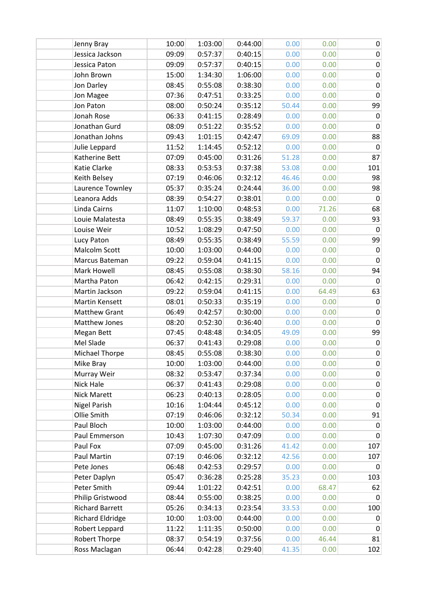| Jenny Bray              | 10:00 | 1:03:00 | 0:44:00 | 0.00  | 0.00  | $\pmb{0}$   |
|-------------------------|-------|---------|---------|-------|-------|-------------|
| Jessica Jackson         | 09:09 | 0:57:37 | 0:40:15 | 0.00  | 0.00  | $\mathbf 0$ |
| Jessica Paton           | 09:09 | 0:57:37 | 0:40:15 | 0.00  | 0.00  | 0           |
| John Brown              | 15:00 | 1:34:30 | 1:06:00 | 0.00  | 0.00  | 0           |
| Jon Darley              | 08:45 | 0:55:08 | 0:38:30 | 0.00  | 0.00  | 0           |
| Jon Magee               | 07:36 | 0:47:51 | 0:33:25 | 0.00  | 0.00  | $\mathbf 0$ |
| Jon Paton               | 08:00 | 0:50:24 | 0:35:12 | 50.44 | 0.00  | 99          |
| Jonah Rose              | 06:33 | 0:41:15 | 0:28:49 | 0.00  | 0.00  | 0           |
| Jonathan Gurd           | 08:09 | 0:51:22 | 0:35:52 | 0.00  | 0.00  | $\mathbf 0$ |
| Jonathan Johns          | 09:43 | 1:01:15 | 0:42:47 | 69.09 | 0.00  | 88          |
| Julie Leppard           | 11:52 | 1:14:45 | 0:52:12 | 0.00  | 0.00  | $\mathbf 0$ |
| Katherine Bett          | 07:09 | 0:45:00 | 0:31:26 | 51.28 | 0.00  | 87          |
| Katie Clarke            | 08:33 | 0:53:53 | 0:37:38 | 53.08 | 0.00  | 101         |
| Keith Belsey            | 07:19 | 0:46:06 | 0:32:12 | 46.46 | 0.00  | 98          |
| Laurence Townley        | 05:37 | 0:35:24 | 0:24:44 | 36.00 | 0.00  | 98          |
| Leanora Adds            | 08:39 | 0:54:27 | 0:38:01 | 0.00  | 0.00  | $\mathbf 0$ |
| Linda Cairns            | 11:07 | 1:10:00 | 0:48:53 | 0.00  | 71.26 | 68          |
| Louie Malatesta         | 08:49 | 0:55:35 | 0:38:49 | 59.37 | 0.00  | 93          |
| Louise Weir             | 10:52 | 1:08:29 | 0:47:50 | 0.00  | 0.00  | 0           |
| Lucy Paton              | 08:49 | 0:55:35 | 0:38:49 | 55.59 | 0.00  | 99          |
| Malcolm Scott           | 10:00 | 1:03:00 | 0:44:00 | 0.00  | 0.00  | $\mathbf 0$ |
| Marcus Bateman          | 09:22 | 0:59:04 | 0:41:15 | 0.00  | 0.00  | $\mathbf 0$ |
| Mark Howell             | 08:45 | 0:55:08 | 0:38:30 | 58.16 | 0.00  | 94          |
| Martha Paton            | 06:42 | 0:42:15 | 0:29:31 | 0.00  | 0.00  | 0           |
| Martin Jackson          | 09:22 | 0:59:04 | 0:41:15 | 0.00  | 64.49 | 63          |
| Martin Kensett          | 08:01 | 0:50:33 | 0:35:19 | 0.00  | 0.00  | $\mathbf 0$ |
| <b>Matthew Grant</b>    | 06:49 | 0:42:57 | 0:30:00 | 0.00  | 0.00  | $\pmb{0}$   |
| Matthew Jones           | 08:20 | 0:52:30 | 0:36:40 | 0.00  | 0.00  | $\mathbf 0$ |
| Megan Bett              | 07:45 | 0:48:48 | 0:34:05 | 49.09 | 0.00  | 99          |
| Mel Slade               | 06:37 | 0:41:43 | 0:29:08 | 0.00  | 0.00  | $\pmb{0}$   |
| <b>Michael Thorpe</b>   | 08:45 | 0:55:08 | 0:38:30 | 0.00  | 0.00  | $\pmb{0}$   |
| Mike Bray               | 10:00 | 1:03:00 | 0:44:00 | 0.00  | 0.00  | 0           |
| Murray Weir             | 08:32 | 0:53:47 | 0:37:34 | 0.00  | 0.00  | $\pmb{0}$   |
| <b>Nick Hale</b>        | 06:37 | 0:41:43 | 0:29:08 | 0.00  | 0.00  | $\pmb{0}$   |
| <b>Nick Marett</b>      | 06:23 | 0:40:13 | 0:28:05 | 0.00  | 0.00  | 0           |
| <b>Nigel Parish</b>     | 10:16 | 1:04:44 | 0:45:12 | 0.00  | 0.00  | $\pmb{0}$   |
| Ollie Smith             | 07:19 | 0:46:06 | 0:32:12 | 50.34 | 0.00  | 91          |
| Paul Bloch              | 10:00 | 1:03:00 | 0:44:00 | 0.00  | 0.00  | $\mathbf 0$ |
| Paul Emmerson           | 10:43 | 1:07:30 | 0:47:09 | 0.00  | 0.00  | 0           |
| Paul Fox                | 07:09 | 0:45:00 | 0:31:26 | 41.42 | 0.00  | 107         |
| Paul Martin             | 07:19 | 0:46:06 | 0:32:12 | 42.56 | 0.00  | 107         |
| Pete Jones              | 06:48 | 0:42:53 | 0:29:57 | 0.00  | 0.00  | $\mathbf 0$ |
| Peter Daplyn            | 05:47 | 0:36:28 | 0:25:28 | 35.23 | 0.00  | 103         |
| Peter Smith             | 09:44 | 1:01:22 | 0:42:51 | 0.00  | 68.47 | 62          |
| Philip Gristwood        | 08:44 | 0:55:00 | 0:38:25 | 0.00  | 0.00  | 0           |
| <b>Richard Barrett</b>  | 05:26 | 0:34:13 | 0:23:54 | 33.53 | 0.00  | 100         |
| <b>Richard Eldridge</b> | 10:00 | 1:03:00 | 0:44:00 | 0.00  | 0.00  | 0           |
| Robert Leppard          | 11:22 | 1:11:35 | 0:50:00 | 0.00  | 0.00  | $\mathbf 0$ |
| Robert Thorpe           | 08:37 | 0:54:19 | 0:37:56 | 0.00  | 46.44 | 81          |
| Ross Maclagan           | 06:44 | 0:42:28 | 0:29:40 | 41.35 | 0.00  | 102         |